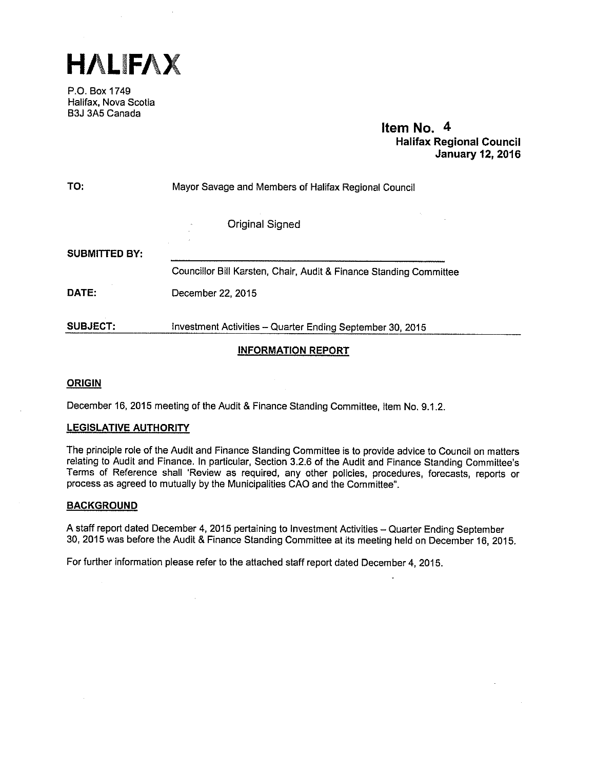HALFAX

P.O. Box 1749 Halifax, Nova Scotia B3J 3A5 Canada

> Item No. 4 Halifax Regional Council January 12, 2016

| TO:             | Mayor Savage and Members of Halifax Regional Council               |  |  |  |
|-----------------|--------------------------------------------------------------------|--|--|--|
|                 | <b>Original Signed</b>                                             |  |  |  |
| SUBMITTED BY:   |                                                                    |  |  |  |
|                 | Councillor Bill Karsten, Chair, Audit & Finance Standing Committee |  |  |  |
| DATE:           | December 22, 2015                                                  |  |  |  |
| <b>SUBJECT:</b> | Investment Activities - Quarter Ending September 30, 2015          |  |  |  |

# INFORMATION REPORT

# ORIGIN

December 16, 2015 meeting of the Audit & Finance Standing Committee, Item No. 9.1.2.

# LEGISLATIVE AUTHORITY

The principle role of the Audit and Finance Standing Committee is to provide advice to Council on matters relating to Audit and Finance. In particular, Section 3.2.6 of the Audit and Finance Standing Committee's Terms of Reference shall 'Review as required, any other policies, procedures, forecasts, reports or process as agreed to mutually by the Municipalities CAO and the Committee".

## BACKGROUND

<sup>A</sup> staff report dated December 4, <sup>2015</sup> pertaining to Investment Activities — Quarter Ending September 30, <sup>2015</sup> was before the Audit & Finance Standing Committee at its meeting held on December 16, 2015.

For further information <sup>p</sup>lease refer to the attached staff repor<sup>t</sup> dated December 4, 2015.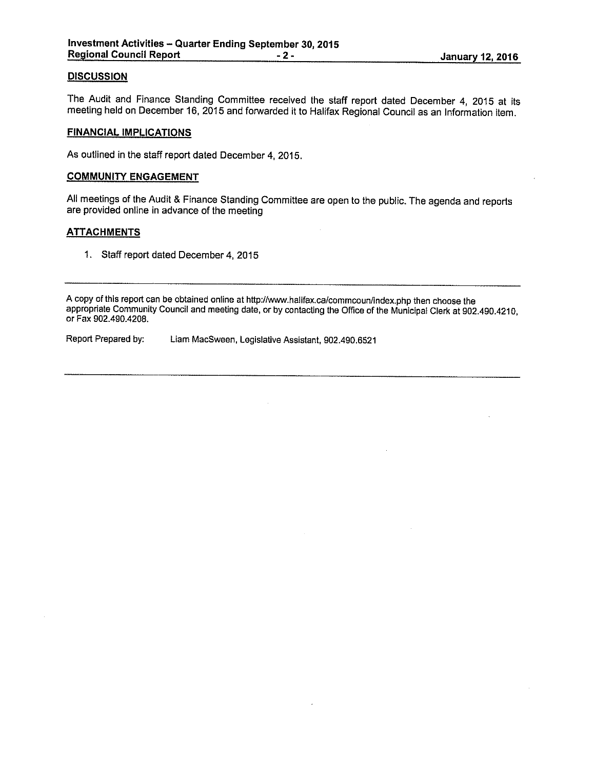# **DISCUSSION**

The Audit and Finance Standing Committee received the staff report dated December 4, <sup>2015</sup> at its meeting held on December 16, <sup>2015</sup> and forwarded it to Halifax Regional Council as an Information item.

#### FINANCIAL IMPLICATIONS

As outlined in the staff report dated December 4, 2015.

#### COMMUNITY ENGAGEMENT

All meetings of the Audit & Finance Standing Committee are open to the public. The agenda and reports are provided online in advance of the meeting

## **ATTACHMENTS**

1. Staff report dated December 4, 2015

A copy of this report can be obtained online at http://www.halifax.ca/commcoun/index.php then choose the appropriate Community Council and meeting date, or by contacting the Office of the Municipal Clerk at 902.490.4210, or Fax 902.490.4208.

Report Prepared by: Liam MacSween, Legislative Assistant, 902.490.6521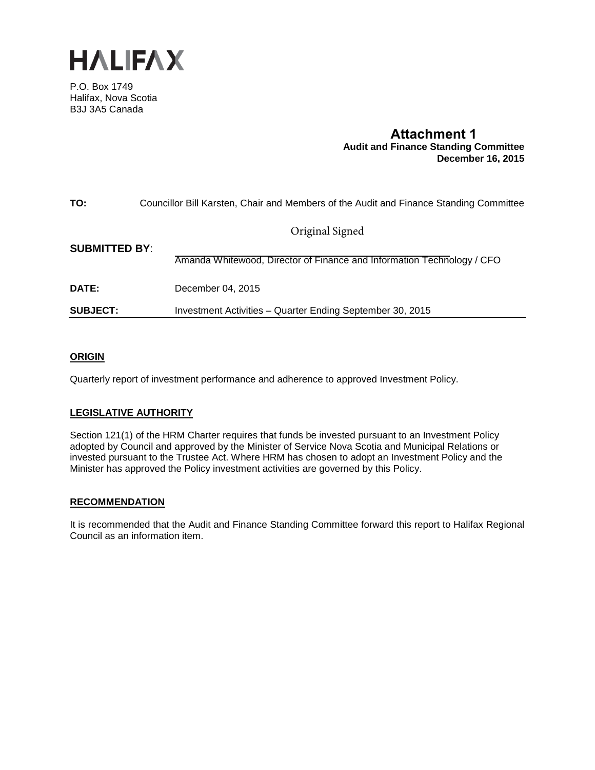

P.O. Box 1749 Halifax, Nova Scotia B3J 3A5 Canada

# **Attachment 1 Audit and Finance Standing Committee December 16, 2015**

| TO:                  | Councillor Bill Karsten, Chair and Members of the Audit and Finance Standing Committee |
|----------------------|----------------------------------------------------------------------------------------|
|                      | Original Signed                                                                        |
| <b>SUBMITTED BY:</b> | Amanda Whitewood, Director of Finance and Information Technology / CFO                 |
| DATE:                | December 04, 2015                                                                      |
| <b>SUBJECT:</b>      | Investment Activities - Quarter Ending September 30, 2015                              |

# **ORIGIN**

Quarterly report of investment performance and adherence to approved Investment Policy.

# **LEGISLATIVE AUTHORITY**

Section 121(1) of the HRM Charter requires that funds be invested pursuant to an Investment Policy adopted by Council and approved by the Minister of Service Nova Scotia and Municipal Relations or invested pursuant to the Trustee Act. Where HRM has chosen to adopt an Investment Policy and the Minister has approved the Policy investment activities are governed by this Policy.

## **RECOMMENDATION**

It is recommended that the Audit and Finance Standing Committee forward this report to Halifax Regional Council as an information item.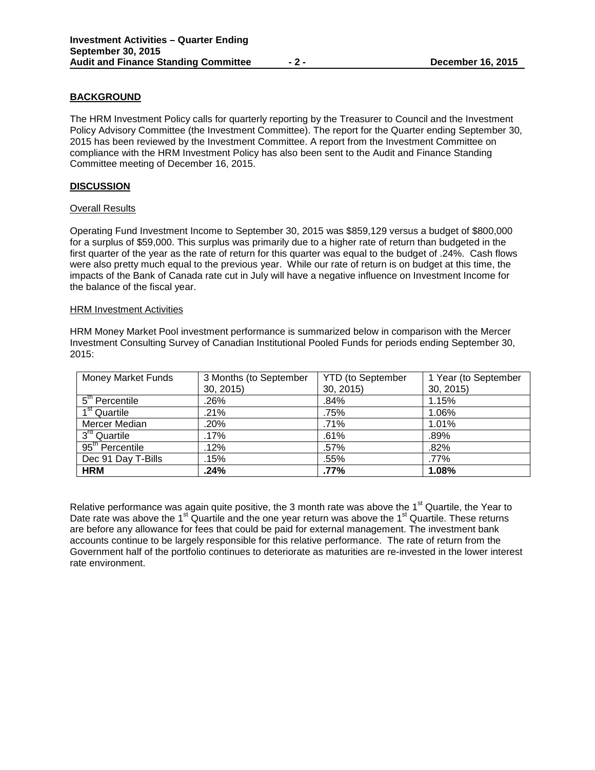# **BACKGROUND**

The HRM Investment Policy calls for quarterly reporting by the Treasurer to Council and the Investment Policy Advisory Committee (the Investment Committee). The report for the Quarter ending September 30, 2015 has been reviewed by the Investment Committee. A report from the Investment Committee on compliance with the HRM Investment Policy has also been sent to the Audit and Finance Standing Committee meeting of December 16, 2015.

## **DISCUSSION**

## Overall Results

Operating Fund Investment Income to September 30, 2015 was \$859,129 versus a budget of \$800,000 for a surplus of \$59,000. This surplus was primarily due to a higher rate of return than budgeted in the first quarter of the year as the rate of return for this quarter was equal to the budget of .24%. Cash flows were also pretty much equal to the previous year. While our rate of return is on budget at this time, the impacts of the Bank of Canada rate cut in July will have a negative influence on Investment Income for the balance of the fiscal year.

#### **HRM Investment Activities**

HRM Money Market Pool investment performance is summarized below in comparison with the Mercer Investment Consulting Survey of Canadian Institutional Pooled Funds for periods ending September 30, 2015:

| <b>Money Market Funds</b>                | 3 Months (to September | <b>YTD</b> (to September | 1 Year (to September |
|------------------------------------------|------------------------|--------------------------|----------------------|
|                                          | 30, 2015               | 30, 2015)                | 30, 2015             |
| 5 <sup>th</sup> Percentile               | .26%                   | .84%                     | 1.15%                |
| $\overline{1}^{\rm st}$ Quartile         | $.21\%$                | .75%                     | 1.06%                |
| <b>Mercer Median</b>                     | .20%                   | .71%                     | 1.01%                |
| $\overline{3}^{rd}$ Quartile             | .17%                   | .61%                     | .89%                 |
| $\overline{95}$ <sup>th</sup> Percentile | .12%                   | .57%                     | .82%                 |
| Dec 91 Day T-Bills                       | .15%                   | .55%                     | .77%                 |
| <b>HRM</b>                               | .24%                   | .77%                     | 1.08%                |

Relative performance was again quite positive, the 3 month rate was above the  $1<sup>st</sup>$  Quartile, the Year to Date rate was above the 1<sup>st</sup> Quartile and the one year return was above the 1<sup>st</sup> Quartile. These returns are before any allowance for fees that could be paid for external management. The investment bank accounts continue to be largely responsible for this relative performance. The rate of return from the Government half of the portfolio continues to deteriorate as maturities are re-invested in the lower interest rate environment.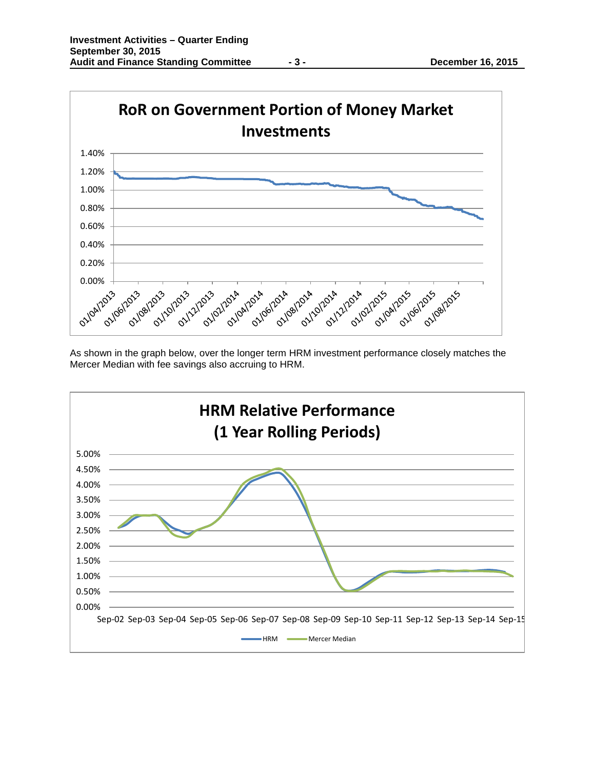

As shown in the graph below, over the longer term HRM investment performance closely matches the Mercer Median with fee savings also accruing to HRM.

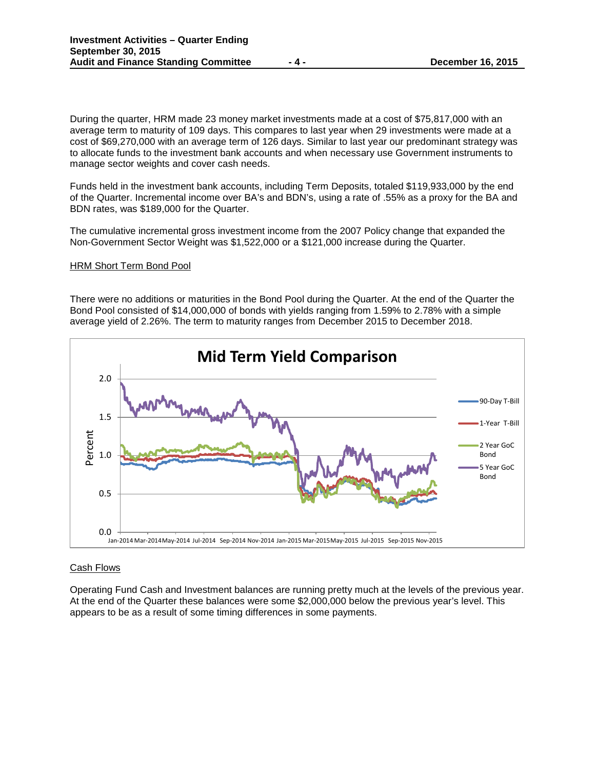During the quarter, HRM made 23 money market investments made at a cost of \$75,817,000 with an average term to maturity of 109 days. This compares to last year when 29 investments were made at a cost of \$69,270,000 with an average term of 126 days. Similar to last year our predominant strategy was to allocate funds to the investment bank accounts and when necessary use Government instruments to manage sector weights and cover cash needs.

Funds held in the investment bank accounts, including Term Deposits, totaled \$119,933,000 by the end of the Quarter. Incremental income over BA's and BDN's, using a rate of .55% as a proxy for the BA and BDN rates, was \$189,000 for the Quarter.

The cumulative incremental gross investment income from the 2007 Policy change that expanded the Non-Government Sector Weight was \$1,522,000 or a \$121,000 increase during the Quarter.

#### HRM Short Term Bond Pool

There were no additions or maturities in the Bond Pool during the Quarter. At the end of the Quarter the Bond Pool consisted of \$14,000,000 of bonds with yields ranging from 1.59% to 2.78% with a simple average yield of 2.26%. The term to maturity ranges from December 2015 to December 2018.



## Cash Flows

Operating Fund Cash and Investment balances are running pretty much at the levels of the previous year. At the end of the Quarter these balances were some \$2,000,000 below the previous year's level. This appears to be as a result of some timing differences in some payments.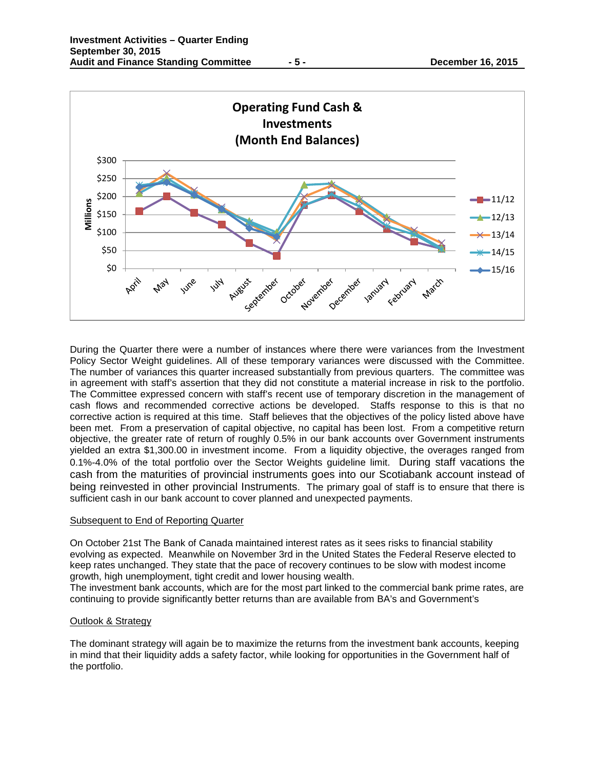



During the Quarter there were a number of instances where there were variances from the Investment Policy Sector Weight guidelines. All of these temporary variances were discussed with the Committee. The number of variances this quarter increased substantially from previous quarters. The committee was in agreement with staff's assertion that they did not constitute a material increase in risk to the portfolio. The Committee expressed concern with staff's recent use of temporary discretion in the management of cash flows and recommended corrective actions be developed. Staffs response to this is that no corrective action is required at this time. Staff believes that the objectives of the policy listed above have been met. From a preservation of capital objective, no capital has been lost. From a competitive return objective, the greater rate of return of roughly 0.5% in our bank accounts over Government instruments yielded an extra \$1,300.00 in investment income. From a liquidity objective, the overages ranged from 0.1%-4.0% of the total portfolio over the Sector Weights guideline limit. During staff vacations the cash from the maturities of provincial instruments goes into our Scotiabank account instead of being reinvested in other provincial Instruments. The primary goal of staff is to ensure that there is sufficient cash in our bank account to cover planned and unexpected payments.

## Subsequent to End of Reporting Quarter

On October 21st The Bank of Canada maintained interest rates as it sees risks to financial stability evolving as expected. Meanwhile on November 3rd in the United States the Federal Reserve elected to keep rates unchanged. They state that the pace of recovery continues to be slow with modest income growth, high unemployment, tight credit and lower housing wealth.

The investment bank accounts, which are for the most part linked to the commercial bank prime rates, are continuing to provide significantly better returns than are available from BA's and Government's

## Outlook & Strategy

The dominant strategy will again be to maximize the returns from the investment bank accounts, keeping in mind that their liquidity adds a safety factor, while looking for opportunities in the Government half of the portfolio.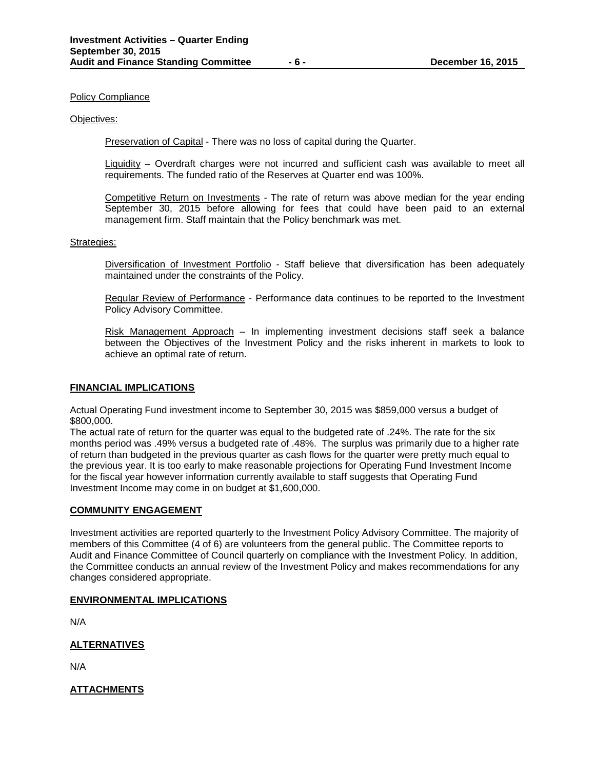#### Policy Compliance

#### Objectives:

Preservation of Capital - There was no loss of capital during the Quarter.

Liquidity – Overdraft charges were not incurred and sufficient cash was available to meet all requirements. The funded ratio of the Reserves at Quarter end was 100%.

Competitive Return on Investments - The rate of return was above median for the year ending September 30, 2015 before allowing for fees that could have been paid to an external management firm. Staff maintain that the Policy benchmark was met.

#### Strategies:

Diversification of Investment Portfolio - Staff believe that diversification has been adequately maintained under the constraints of the Policy.

Regular Review of Performance - Performance data continues to be reported to the Investment Policy Advisory Committee.

Risk Management Approach – In implementing investment decisions staff seek a balance between the Objectives of the Investment Policy and the risks inherent in markets to look to achieve an optimal rate of return.

#### **FINANCIAL IMPLICATIONS**

Actual Operating Fund investment income to September 30, 2015 was \$859,000 versus a budget of \$800,000.

The actual rate of return for the quarter was equal to the budgeted rate of .24%. The rate for the six months period was .49% versus a budgeted rate of .48%. The surplus was primarily due to a higher rate of return than budgeted in the previous quarter as cash flows for the quarter were pretty much equal to the previous year. It is too early to make reasonable projections for Operating Fund Investment Income for the fiscal year however information currently available to staff suggests that Operating Fund Investment Income may come in on budget at \$1,600,000.

## **COMMUNITY ENGAGEMENT**

Investment activities are reported quarterly to the Investment Policy Advisory Committee. The majority of members of this Committee (4 of 6) are volunteers from the general public. The Committee reports to Audit and Finance Committee of Council quarterly on compliance with the Investment Policy. In addition, the Committee conducts an annual review of the Investment Policy and makes recommendations for any changes considered appropriate.

## **ENVIRONMENTAL IMPLICATIONS**

N/A

## **ALTERNATIVES**

N/A

## **ATTACHMENTS**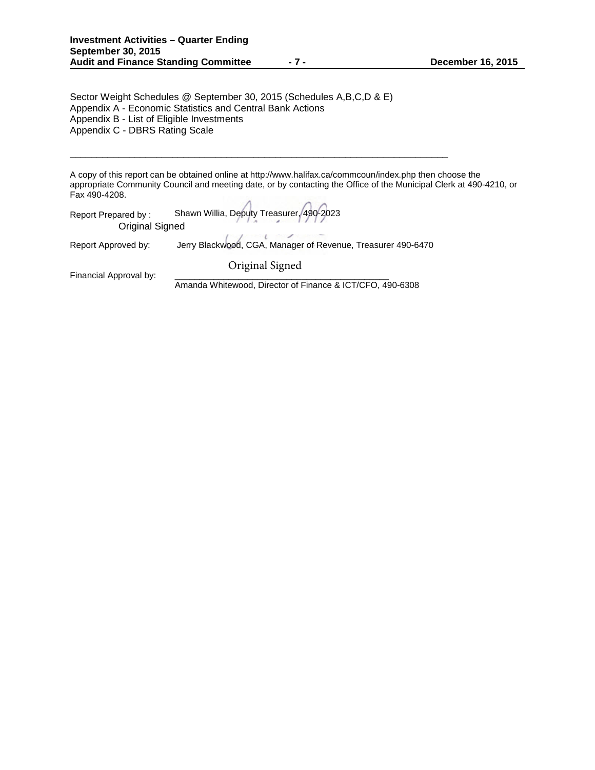Sector Weight Schedules @ September 30, 2015 (Schedules A,B,C,D & E) Appendix A - Economic Statistics and Central Bank Actions Appendix B - List of Eligible Investments Appendix C - DBRS Rating Scale

A copy of this report can be obtained online at http://www.halifax.ca/commcoun/index.php then choose the appropriate Community Council and meeting date, or by contacting the Office of the Municipal Clerk at 490-4210, or Fax 490-4208.

Report Prepared by : Shawn Willia, Deputy Treasurer, 490-2023 Original Signed

Report Approved by: Jerry Blackwood, CGA, Manager of Revenue, Treasurer 490-6470

\_\_\_\_\_\_\_\_\_\_\_\_\_\_\_\_\_\_\_\_\_\_\_\_\_\_\_\_\_\_\_\_\_\_\_\_\_\_\_\_\_\_\_\_\_\_\_\_\_\_\_\_\_\_\_\_\_\_\_\_\_\_\_\_\_\_\_\_\_\_

Original Signed

Financial Approval by:

Amanda Whitewood, Director of Finance & ICT/CFO, 490-6308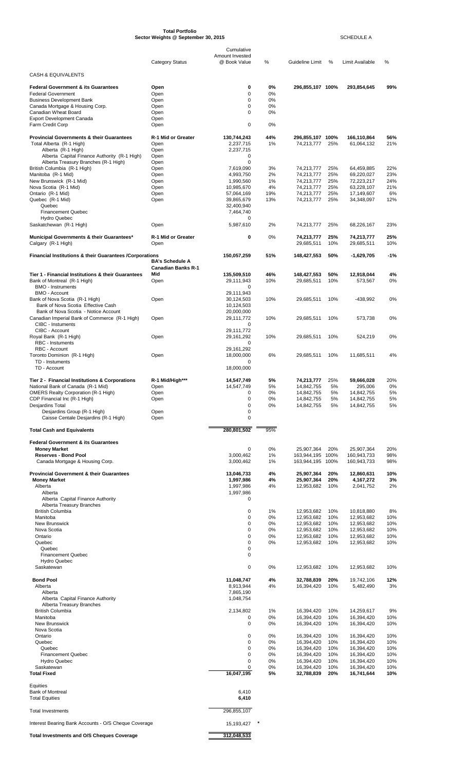|                                                                            | Sector Weights @ September 30, 2015                 |                                               |          | SCHEDULE A                           |            |                            |            |  |
|----------------------------------------------------------------------------|-----------------------------------------------------|-----------------------------------------------|----------|--------------------------------------|------------|----------------------------|------------|--|
|                                                                            | <b>Category Status</b>                              | Cumulative<br>Amount Invested<br>@ Book Value | %        | Guideline Limit                      | %          | <b>Limit Available</b>     | %          |  |
| <b>CASH &amp; EQUIVALENTS</b>                                              |                                                     |                                               |          |                                      |            |                            |            |  |
| <b>Federal Government &amp; its Guarantees</b>                             | Open                                                | 0                                             | 0%       | 296,855,107 100%                     |            | 293,854,645                | 99%        |  |
| <b>Federal Government</b>                                                  | Open                                                | 0                                             | 0%       |                                      |            |                            |            |  |
| <b>Business Development Bank</b><br>Canada Mortgage & Housing Corp.        | Open<br>Open                                        | $\Omega$<br>0                                 | 0%<br>0% |                                      |            |                            |            |  |
| Canadian Wheat Board                                                       | Open                                                | $\Omega$                                      | 0%       |                                      |            |                            |            |  |
| <b>Export Development Canada</b><br>Farm Credit Corp                       | Open<br>Open                                        | $\mathbf 0$                                   | 0%       |                                      |            |                            |            |  |
| <b>Provincial Governments &amp; their Guarantees</b>                       | R-1 Mid or Greater                                  | 130,744,243                                   | 44%      | 296,855,107 100%                     |            | 166,110,864                | 56%        |  |
| Total Alberta (R-1 High)                                                   | Open                                                | 2,237,715                                     | 1%       | 74,213,777                           | 25%        | 61,064,132                 | 21%        |  |
| Alberta (R-1 High)<br>Alberta Capital Finance Authority (R-1 High)         | Open<br>Open                                        | 2,237,715<br>0                                |          |                                      |            |                            |            |  |
| Alberta Treasury Branches (R-1 High)                                       | Open                                                | 0                                             |          |                                      |            |                            |            |  |
| British Columbia (R-1 High)                                                | Open                                                | 7,619,090                                     | 3%       | 74,213,777                           | 25%        | 64,459,885                 | 22%        |  |
| Manitoba (R-1 Mid)<br>New Brunswick (R-1 Mid)                              | Open<br>Open                                        | 4,993,750<br>1,990,560                        | 2%<br>1% | 74,213,777<br>74,213,777             | 25%<br>25% | 69,220,027<br>72,223,217   | 23%<br>24% |  |
| Nova Scotia (R-1 Mid)                                                      | Open                                                | 10,985,670                                    | 4%       | 74,213,777                           | 25%        | 63,228,107                 | 21%        |  |
| Ontario (R-1 Mid)                                                          | Open                                                | 57,064,169                                    | 19%      | 74,213,777                           | 25%        | 17,149,607                 | 6%         |  |
| Quebec (R-1 Mid)<br>Quebec                                                 | Open                                                | 39,865,679<br>32,400,940                      | 13%      | 74,213,777                           | 25%        | 34,348,097                 | 12%        |  |
| <b>Financement Quebec</b>                                                  |                                                     | 7,464,740                                     |          |                                      |            |                            |            |  |
| <b>Hydro Quebec</b><br>Saskatchewan (R-1 High)                             | Open                                                | 0<br>5,987,610                                | 2%       | 74,213,777                           | 25%        | 68,226,167                 | 23%        |  |
|                                                                            |                                                     |                                               |          |                                      |            |                            |            |  |
| Municipal Governments & their Guarantees*<br>Calgary (R-1 High)            | R-1 Mid or Greater<br>Open                          | 0                                             | 0%       | 74,213,777<br>29,685,511             | 25%<br>10% | 74,213,777<br>29,685,511   | 25%<br>10% |  |
| Financial Institutions & their Guarantees / Corporations                   |                                                     | 150,057,259                                   | 51%      | 148,427,553                          | 50%        | $-1,629,705$               | $-1%$      |  |
|                                                                            | <b>BA's Schedule A</b><br><b>Canadian Banks R-1</b> |                                               |          |                                      |            |                            |            |  |
| Tier 1 - Financial Institutions & their Guarantees                         | Mid                                                 | 135,509,510                                   | 46%      | 148,427,553                          | 50%        | 12,918,044                 | 4%         |  |
| Bank of Montreal (R-1 High)<br><b>BMO - Instruments</b>                    | Open                                                | 29,111,943<br>0                               | 10%      | 29,685,511                           | 10%        | 573,567                    | 0%         |  |
| <b>BMO - Account</b>                                                       |                                                     | 29,111,943                                    |          |                                      |            |                            |            |  |
| Bank of Nova Scotia (R-1 High)                                             | Open                                                | 30,124,503                                    | 10%      | 29,685,511                           | 10%        | -438,992                   | 0%         |  |
| Bank of Nova Scotia Effective Cash<br>Bank of Nova Scotia - Notice Account |                                                     | 10,124,503<br>20,000,000                      |          |                                      |            |                            |            |  |
| Canadian Imperial Bank of Commerce (R-1 High)                              | Open                                                | 29,111,772                                    | 10%      | 29,685,511                           | 10%        | 573,738                    | 0%         |  |
| CIBC - Instuments                                                          |                                                     | 0                                             |          |                                      |            |                            |            |  |
| CIBC - Account<br>Royal Bank (R-1 High)                                    | Open                                                | 29,111,772<br>29.161.292                      | 10%      | 29,685,511                           | 10%        | 524,219                    | 0%         |  |
| RBC - Instuments                                                           |                                                     | $\Omega$                                      |          |                                      |            |                            |            |  |
| RBC - Account                                                              |                                                     | 29, 161, 292                                  |          |                                      |            |                            |            |  |
| Toronto Dominion (R-1 High)<br>TD - Instuments                             | Open                                                | 18,000,000<br>0                               | 6%       | 29,685,511                           | 10%        | 11,685,511                 | 4%         |  |
| TD - Account                                                               |                                                     | 18,000,000                                    |          |                                      |            |                            |            |  |
| Tier 2 - Financial Institutions & Corporations                             | R-1 Mid/High***                                     | 14,547,749                                    | 5%       | 74,213,777                           | 25%        | 59,666,028                 | 20%        |  |
| National Bank of Canada (R-1 Mid)                                          | Open                                                | 14,547,749                                    | 5%       | 14,842,755                           | 5%         | 295,006                    | 0%         |  |
| <b>OMERS Realty Corporation (R-1 High)</b>                                 | Open                                                | 0                                             | 0%       | 14,842,755                           | 5%         | 14,842,755                 | 5%         |  |
| CDP Financial Inc (R-1 High)<br>Desjardins Total                           | Open                                                | 0<br>0                                        | 0%<br>0% | 14,842,755<br>14,842,755             | 5%<br>5%   | 14,842,755<br>14,842,755   | 5%<br>5%   |  |
| Desjardins Group (R-1 High)                                                | Open                                                | 0                                             |          |                                      |            |                            |            |  |
| Caisse Centale Desjardins (R-1 High)                                       | Open                                                | $\mathbf 0$                                   |          |                                      |            |                            |            |  |
| <b>Total Cash and Equivalents</b>                                          |                                                     | 280,801,502                                   | 95%      |                                      |            |                            |            |  |
| <b>Federal Government &amp; its Guarantees</b>                             |                                                     |                                               |          |                                      |            |                            |            |  |
| <b>Money Market</b>                                                        |                                                     | 0                                             | 0%       | 25,907,364                           | 20%        | 25,907,364                 | 20%        |  |
| <b>Reserves - Bond Pool</b><br>Canada Mortgage & Housing Corp.             |                                                     | 3,000,462<br>3,000,462                        | 1%<br>1% | 163,944,195 100%<br>163,944,195 100% |            | 160,943,733<br>160,943,733 | 98%<br>98% |  |
|                                                                            |                                                     |                                               |          |                                      |            |                            |            |  |
| <b>Provincial Government &amp; their Guarantees</b><br><b>Money Market</b> |                                                     | 13,046,733<br>1,997,986                       | 4%<br>4% | 25,907,364<br>25,907,364             | 20%<br>20% | 12,860,631<br>4,167,272    | 10%<br>3%  |  |
| Alberta                                                                    |                                                     | 1,997,986                                     | 4%       | 12,953,682                           | 10%        | 2,041,752                  | 2%         |  |
| Alberta                                                                    |                                                     | 1,997,986                                     |          |                                      |            |                            |            |  |
| Alberta Capital Finance Authority<br>Alberta Treasury Branches             |                                                     | 0                                             |          |                                      |            |                            |            |  |
| <b>British Columbia</b>                                                    |                                                     | 0                                             | 1%       | 12,953,682                           | 10%        | 10,818,880                 | 8%         |  |
| Manitoba                                                                   |                                                     | 0                                             | 0%       | 12,953,682                           | 10%        | 12,953,682                 | 10%        |  |
| <b>New Brunswick</b><br>Nova Scotia                                        |                                                     | 0<br>0                                        | 0%<br>0% | 12,953,682<br>12,953,682             | 10%<br>10% | 12,953,682<br>12,953,682   | 10%<br>10% |  |
| Ontario                                                                    |                                                     | 0                                             | 0%       | 12,953,682                           | 10%        | 12,953,682                 | 10%        |  |
| Quebec<br>Quebec                                                           |                                                     | 0<br>0                                        | 0%       | 12,953,682                           | 10%        | 12,953,682                 | 10%        |  |
| Financement Quebec                                                         |                                                     | 0                                             |          |                                      |            |                            |            |  |
| <b>Hydro Quebec</b><br>Saskatewan                                          |                                                     | 0                                             |          |                                      |            |                            |            |  |
|                                                                            |                                                     |                                               | 0%       | 12,953,682                           | 10%        | 12,953,682                 | 10%        |  |
| <b>Bond Pool</b>                                                           |                                                     | 11,048,747                                    | 4%       | 32,788,839                           | 20%        | 19,742,106                 | 12%        |  |
| Alberta<br>Alberta                                                         |                                                     | 8,913,944<br>7,865,190                        | 4%       | 16,394,420                           | 10%        | 5,482,490                  | 3%         |  |
| Alberta Capital Finance Authority                                          |                                                     | 1,048,754                                     |          |                                      |            |                            |            |  |
| Alberta Treasury Branches<br><b>British Columbia</b>                       |                                                     | 2,134,802                                     | 1%       | 16,394,420                           |            | 14,259,617                 | 9%         |  |
| Manitoba                                                                   |                                                     | 0                                             | 0%       | 16,394,420                           | 10%<br>10% | 16,394,420                 | 10%        |  |
| <b>New Brunswick</b>                                                       |                                                     | 0                                             | 0%       | 16,394,420                           | 10%        | 16,394,420                 | 10%        |  |
| Nova Scotia<br>Ontario                                                     |                                                     | 0                                             | 0%       | 16,394,420                           | 10%        | 16,394,420                 | 10%        |  |
| Quebec                                                                     |                                                     | 0                                             | 0%       | 16,394,420                           | 10%        | 16,394,420                 | 10%        |  |
| Quebec                                                                     |                                                     | 0                                             | 0%       | 16,394,420                           | 10%        | 16,394,420                 | 10%        |  |
| <b>Financement Quebec</b><br><b>Hydro Quebec</b>                           |                                                     | 0<br>0                                        | 0%<br>0% | 16,394,420<br>16,394,420             | 10%<br>10% | 16,394,420<br>16,394,420   | 10%<br>10% |  |
| Saskatewan                                                                 |                                                     | 0                                             | 0%       | 16,394,420                           | 10%        | 16,394,420                 | 10%        |  |
| <b>Total Fixed</b>                                                         |                                                     | 16,047,195                                    | 5%       | 32,788,839                           | 20%        | 16,741,644                 | 10%        |  |
| Equities                                                                   |                                                     |                                               |          |                                      |            |                            |            |  |
| <b>Bank of Montreal</b><br><b>Total Equities</b>                           |                                                     | 6,410<br>6,410                                |          |                                      |            |                            |            |  |
|                                                                            |                                                     |                                               |          |                                      |            |                            |            |  |
| <b>Total Investments</b>                                                   |                                                     | 296,855,107                                   |          |                                      |            |                            |            |  |
| Interest Bearing Bank Accounts - O/S Cheque Coverage                       |                                                     | 15,193,427                                    |          |                                      |            |                            |            |  |
| <b>Total Investments and O/S Cheques Coverage</b>                          |                                                     | 312,048,533                                   |          |                                      |            |                            |            |  |

**Total Portfolio**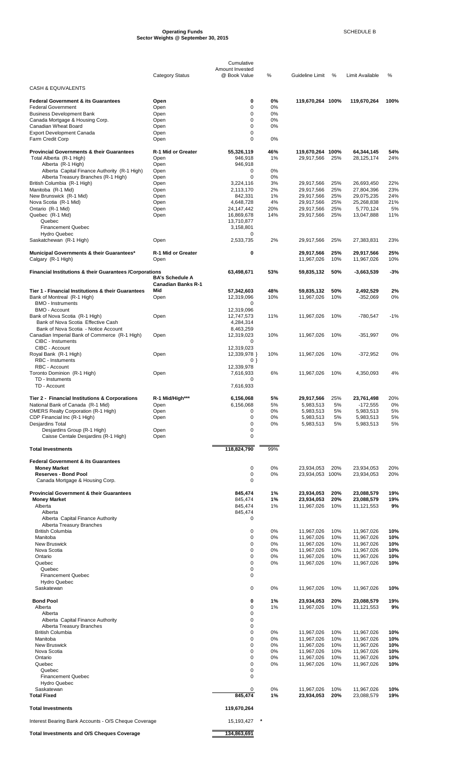#### **Operating Funds** SCHEDULE B **Sector Weights @ September 30, 2015**

|                                                                                     |                                   | Cumulative                      |           |                                |            |                          |            |
|-------------------------------------------------------------------------------------|-----------------------------------|---------------------------------|-----------|--------------------------------|------------|--------------------------|------------|
|                                                                                     | <b>Category Status</b>            | Amount Invested<br>@ Book Value | %         | Guideline Limit                | %          | Limit Available          | %          |
|                                                                                     |                                   |                                 |           |                                |            |                          |            |
| <b>CASH &amp; EQUIVALENTS</b>                                                       |                                   |                                 |           |                                |            |                          |            |
| <b>Federal Government &amp; its Guarantees</b>                                      | Open                              | 0                               | 0%        | 119,670,264 100%               |            | 119,670,264              | 100%       |
| <b>Federal Government</b><br><b>Business Development Bank</b>                       | Open<br>Open                      | 0<br>0                          | 0%<br>0%  |                                |            |                          |            |
| Canada Mortgage & Housing Corp.                                                     | Open                              | 0                               | 0%        |                                |            |                          |            |
| Canadian Wheat Board                                                                | Open                              | 0                               | 0%        |                                |            |                          |            |
| <b>Export Development Canada</b><br>Farm Credit Corp                                | Open<br>Open                      | 0<br>0                          | 0%        |                                |            |                          |            |
|                                                                                     |                                   |                                 |           |                                |            |                          |            |
| <b>Provincial Governments &amp; their Guarantees</b><br>Total Alberta (R-1 High)    | <b>R-1 Mid or Greater</b><br>Open | 55,326,119<br>946,918           | 46%<br>1% | 119,670,264 100%<br>29,917,566 | 25%        | 64,344,145<br>28,125,174 | 54%<br>24% |
| Alberta (R-1 High)                                                                  | Open                              | 946,918                         |           |                                |            |                          |            |
| Alberta Capital Finance Authority (R-1 High)                                        | Open                              | 0                               | 0%        |                                |            |                          |            |
| Alberta Treasury Branches (R-1 High)<br>British Columbia (R-1 High)                 | Open<br>Open                      | 0<br>3,224,116                  | 0%<br>3%  | 29,917,566                     | 25%        | 26,693,450               | 22%        |
| Manitoba (R-1 Mid)                                                                  | Open                              | 2,113,170                       | 2%        | 29,917,566                     | 25%        | 27,804,396               | 23%        |
| New Brunswick (R-1 Mid)                                                             | Open                              | 842,331                         | 1%        | 29,917,566                     | 25%        | 29,075,235               | 24%        |
| Nova Scotia (R-1 Mid)<br>Ontario (R-1 Mid)                                          | Open<br>Open                      | 4,648,728<br>24,147,442         | 4%<br>20% | 29,917,566<br>29,917,566       | 25%<br>25% | 25,268,838<br>5,770,124  | 21%<br>5%  |
| Quebec (R-1 Mid)                                                                    | Open                              | 16,869,678                      | 14%       | 29,917,566                     | 25%        | 13,047,888               | 11%        |
| Quebec                                                                              |                                   | 13,710,877                      |           |                                |            |                          |            |
| <b>Financement Quebec</b><br><b>Hydro Quebec</b>                                    |                                   | 3,158,801<br>0                  |           |                                |            |                          |            |
| Saskatchewan (R-1 High)                                                             | Open                              | 2,533,735                       | 2%        | 29,917,566                     | 25%        | 27,383,831               | 23%        |
| Municipal Governments & their Guarantees*                                           | R-1 Mid or Greater                | 0                               |           | 29,917,566                     | 25%        | 29,917,566               | 25%        |
| Calgary (R-1 High)                                                                  | Open                              |                                 |           | 11,967,026                     | 10%        | 11,967,026               | 10%        |
| Financial Institutions & their Guarantees / Corporations                            |                                   | 63,498,671                      | 53%       | 59,835,132                     | 50%        | $-3,663,539$             | $-3%$      |
|                                                                                     | <b>BA's Schedule A</b>            |                                 |           |                                |            |                          |            |
| Tier 1 - Financial Institutions & their Guarantees                                  | <b>Canadian Banks R-1</b><br>Mid  | 57,342,603                      | 48%       | 59,835,132                     | 50%        | 2,492,529                | 2%         |
| Bank of Montreal (R-1 High)                                                         | Open                              | 12,319,096                      | 10%       | 11,967,026                     | 10%        | $-352,069$               | 0%         |
| <b>BMO - Instruments</b>                                                            |                                   | 0                               |           |                                |            |                          |            |
| <b>BMO - Account</b><br>Bank of Nova Scotia (R-1 High)                              | Open                              | 12,319,096<br>12,747,573        | 11%       | 11,967,026                     | 10%        | -780,547                 | $-1%$      |
| Bank of Nova Scotia Effective Cash                                                  |                                   | 4,284,314                       |           |                                |            |                          |            |
| Bank of Nova Scotia - Notice Account                                                |                                   | 8,463,259                       |           |                                |            |                          |            |
| Canadian Imperial Bank of Commerce (R-1 High)<br><b>CIBC - Instuments</b>           | Open                              | 12,319,023<br>0                 | 10%       | 11,967,026                     | 10%        | $-351,997$               | 0%         |
| CIBC - Account                                                                      |                                   | 12,319,023                      |           |                                |            |                          |            |
| Royal Bank (R-1 High)<br><b>RBC</b> - Instuments                                    | Open                              | 12,339,978 }<br>0 }             | 10%       | 11,967,026                     | 10%        | -372,952                 | 0%         |
| RBC - Account                                                                       |                                   | 12,339,978                      |           |                                |            |                          |            |
| Toronto Dominion (R-1 High)                                                         | Open                              | 7,616,933                       | 6%        | 11,967,026                     | 10%        | 4,350,093                | 4%         |
| TD - Instuments<br>TD - Account                                                     |                                   | 0<br>7,616,933                  |           |                                |            |                          |            |
|                                                                                     |                                   |                                 |           |                                |            |                          |            |
| Tier 2 - Financial Institutions & Corporations<br>National Bank of Canada (R-1 Mid) | R-1 Mid/High***<br>Open           | 6,156,068<br>6,156,068          | 5%<br>5%  | 29,917,566<br>5,983,513        | 25%<br>5%  | 23,761,498<br>$-172,555$ | 20%<br>0%  |
| <b>OMERS Realty Corporation (R-1 High)</b>                                          | Open                              | 0                               | 0%        | 5,983,513                      | 5%         | 5,983,513                | 5%         |
| CDP Financial Inc (R-1 High)                                                        | Open                              | 0                               | 0%        | 5,983,513                      | 5%         | 5,983,513                | 5%         |
| <b>Desjardins Total</b><br>Desjardins Group (R-1 High)                              | Open                              | 0<br>0                          | 0%        | 5,983,513                      | 5%         | 5,983,513                | 5%         |
| Caisse Centale Desjardins (R-1 High)                                                | Open                              | 0                               |           |                                |            |                          |            |
| <b>Total Investments</b>                                                            |                                   | 118,824,790                     | 99%       |                                |            |                          |            |
|                                                                                     |                                   |                                 |           |                                |            |                          |            |
| <b>Federal Government &amp; its Guarantees</b><br><b>Money Market</b>               |                                   | 0                               | 0%        | 23,934,053                     | 20%        | 23,934,053               | 20%        |
| <b>Reserves - Bond Pool</b>                                                         |                                   | 0                               | 0%        | 23,934,053 100%                |            | 23,934,053               | 20%        |
| Canada Mortgage & Housing Corp.                                                     |                                   | 0                               |           |                                |            |                          |            |
| <b>Provincial Government &amp; their Guarantees</b>                                 |                                   | 845,474                         | 1%        | 23,934,053                     | 20%        | 23,088,579               | 19%        |
| <b>Money Market</b>                                                                 |                                   | 845,474                         | 1%        | 23,934,053                     | 20%        | 23,088,579               | 19%        |
| Alberta<br>Alberta                                                                  |                                   | 845,474<br>845,474              | 1%        | 11,967,026                     | 10%        | 11,121,553               | 9%         |
| Alberta Capital Finance Authority                                                   |                                   | 0                               |           |                                |            |                          |            |
| Alberta Treasury Branches<br><b>British Columbia</b>                                |                                   | 0                               | 0%        | 11,967,026                     | 10%        | 11,967,026               | 10%        |
| Manitoba                                                                            |                                   | 0                               | 0%        | 11,967,026                     | 10%        | 11,967,026               | 10%        |
| <b>New Bruswick</b>                                                                 |                                   | 0                               | 0%        | 11,967,026                     | 10%        | 11,967,026               | 10%        |
| Nova Scotia<br>Ontario                                                              |                                   | 0<br>0                          | 0%<br>0%  | 11,967,026<br>11,967,026       | 10%<br>10% | 11,967,026<br>11,967,026 | 10%<br>10% |
| Quebec                                                                              |                                   | 0                               | 0%        | 11,967,026                     | 10%        | 11,967,026               | 10%        |
| Quebec                                                                              |                                   | 0                               |           |                                |            |                          |            |
| <b>Financement Quebec</b><br><b>Hydro Quebec</b>                                    |                                   | 0                               |           |                                |            |                          |            |
| Saskatewan                                                                          |                                   | 0                               | 0%        | 11,967,026                     | 10%        | 11,967,026               | 10%        |
| <b>Bond Pool</b>                                                                    |                                   | 0                               | 1%        | 23,934,053                     | 20%        | 23,088,579               | 19%        |
| Alberta                                                                             |                                   | 0                               | 1%        | 11,967,026                     | 10%        | 11,121,553               | 9%         |
| Alberta                                                                             |                                   | 0                               |           |                                |            |                          |            |
| Alberta Capital Finance Authority<br>Alberta Treasury Branches                      |                                   | 0<br>0                          |           |                                |            |                          |            |
| <b>British Columbia</b>                                                             |                                   | 0                               | 0%        | 11,967,026                     | 10%        | 11,967,026               | 10%        |
| Manitoba<br><b>New Bruswick</b>                                                     |                                   | 0<br>0                          | 0%<br>0%  | 11,967,026<br>11,967,026       | 10%<br>10% | 11,967,026<br>11,967,026 | 10%<br>10% |
| Nova Scotia                                                                         |                                   | 0                               | 0%        | 11,967,026                     | 10%        | 11,967,026               | 10%        |
| Ontario                                                                             |                                   | 0                               | 0%        | 11,967,026                     | 10%        | 11,967,026               | 10%        |
| Quebec<br>Quebec                                                                    |                                   | 0<br>0                          | 0%        | 11,967,026                     | 10%        | 11,967,026               | 10%        |
| <b>Financement Quebec</b>                                                           |                                   | 0                               |           |                                |            |                          |            |
| <b>Hydro Quebec</b><br>Saskatewan                                                   |                                   | 0                               | 0%        | 11,967,026                     | 10%        | 11,967,026               | 10%        |
| <b>Total Fixed</b>                                                                  |                                   | 845,474                         | 1%        | 23,934,053                     | 20%        | 23,088,579               | 19%        |
| <b>Total Investments</b>                                                            |                                   | 119,670,264                     |           |                                |            |                          |            |
|                                                                                     |                                   |                                 |           |                                |            |                          |            |
| Interest Bearing Bank Accounts - O/S Cheque Coverage                                |                                   | 15,193,427                      |           |                                |            |                          |            |
| <b>Total Investments and O/S Cheques Coverage</b>                                   |                                   | 134,863,691                     |           |                                |            |                          |            |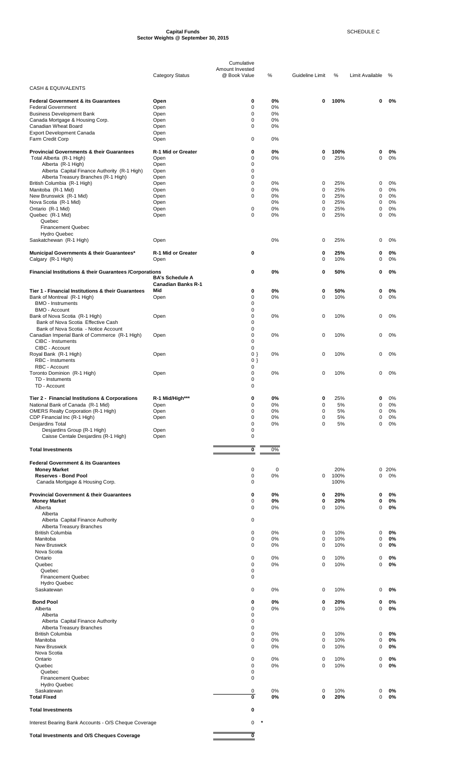#### **Capital Funds** SCHEDULE C **Sector Weights @ September 30, 2015**

|                                                                                   |                            | Cumulative                      |                   |                            |             |                  |             |
|-----------------------------------------------------------------------------------|----------------------------|---------------------------------|-------------------|----------------------------|-------------|------------------|-------------|
|                                                                                   | <b>Category Status</b>     | Amount Invested<br>@ Book Value | $\%$              | Guideline Limit            | %           | Limit Available  | %           |
| <b>CASH &amp; EQUIVALENTS</b>                                                     |                            |                                 |                   |                            |             |                  |             |
| <b>Federal Government &amp; its Guarantees</b>                                    | Open                       | 0                               | 0%                | 0                          | 100%        | 0                | 0%          |
| <b>Federal Government</b>                                                         | Open                       | 0                               | 0%                |                            |             |                  |             |
| <b>Business Development Bank</b><br>Canada Mortgage & Housing Corp.               | Open                       | 0<br>0                          | 0%<br>0%          |                            |             |                  |             |
| Canadian Wheat Board                                                              | Open<br>Open               | 0                               | 0%                |                            |             |                  |             |
| <b>Export Development Canada</b>                                                  | Open                       |                                 |                   |                            |             |                  |             |
| Farm Credit Corp                                                                  | Open                       | 0                               | 0%                |                            |             |                  |             |
| <b>Provincial Governments &amp; their Guarantees</b>                              | R-1 Mid or Greater         | 0                               | 0%                | 0                          | 100%        | 0                | 0%          |
| Total Alberta (R-1 High)                                                          | Open                       | 0<br>0                          | 0%                | $\mathbf 0$                | 25%         | 0                | 0%          |
| Alberta (R-1 High)<br>Alberta Capital Finance Authority (R-1 High)                | Open<br>Open               | 0                               |                   |                            |             |                  |             |
| Alberta Treasury Branches (R-1 High)                                              | Open                       | 0                               |                   |                            |             |                  |             |
| British Columbia (R-1 High)<br>Manitoba (R-1 Mid)                                 | Open<br>Open               | $\mathbf 0$<br>0                | 0%<br>0%          | 0<br>$\mathbf 0$           | 25%<br>25%  | 0<br>0           | 0%<br>0%    |
| New Brunswick (R-1 Mid)                                                           | Open                       | $\Omega$                        | 0%                | $\mathbf 0$                | 25%         | 0                | 0%          |
| Nova Scotia (R-1 Mid)                                                             | Open                       |                                 | 0%                | $\mathbf 0$                | 25%         | $\mathbf 0$      | 0%          |
| Ontario (R-1 Mid)<br>Quebec (R-1 Mid)                                             | Open<br>Open               | 0<br>0                          | 0%<br>0%          | $\mathbf 0$<br>$\mathbf 0$ | 25%<br>25%  | 0<br>0           | 0%<br>0%    |
| Quebec                                                                            |                            |                                 |                   |                            |             |                  |             |
| <b>Financement Quebec</b><br><b>Hydro Quebec</b>                                  |                            |                                 |                   |                            |             |                  |             |
| Saskatchewan (R-1 High)                                                           | Open                       |                                 | 0%                | $\mathbf 0$                | 25%         | 0                | 0%          |
| Municipal Governments & their Guarantees*<br>Calgary (R-1 High)                   | R-1 Mid or Greater<br>Open | 0                               |                   | $\bf{0}$<br>0              | 25%<br>10%  | 0<br>0           | 0%<br>0%    |
| <b>Financial Institutions &amp; their Guarantees /Corporations</b>                |                            | 0                               | 0%                | 0                          | 50%         | 0                | 0%          |
|                                                                                   | <b>BA's Schedule A</b>     |                                 |                   |                            |             |                  |             |
|                                                                                   | <b>Canadian Banks R-1</b>  |                                 |                   |                            |             |                  |             |
| Tier 1 - Financial Institutions & their Guarantees<br>Bank of Montreal (R-1 High) | Mid<br>Open                | 0<br>0                          | 0%<br>0%          | 0<br>$\mathbf 0$           | 50%<br>10%  | 0<br>0           | 0%<br>0%    |
| <b>BMO - Instruments</b>                                                          |                            | 0                               |                   |                            |             |                  |             |
| <b>BMO - Account</b>                                                              |                            | 0                               |                   |                            |             |                  |             |
| Bank of Nova Scotia (R-1 High)<br>Bank of Nova Scotia Effective Cash              | Open                       | $\mathbf 0$<br>0                | 0%                | $\mathbf 0$                | 10%         | 0                | 0%          |
| Bank of Nova Scotia - Notice Account                                              |                            | $\mathbf 0$                     |                   |                            |             |                  |             |
| Canadian Imperial Bank of Commerce (R-1 High)                                     | Open                       | 0                               | 0%                | 0                          | 10%         | 0                | 0%          |
| CIBC - Instuments<br>CIBC - Account                                               |                            | 0<br>$\mathbf 0$                |                   |                            |             |                  |             |
| Royal Bank (R-1 High)                                                             | Open                       | $0$ }                           | 0%                | 0                          | 10%         | 0                | 0%          |
| <b>RBC</b> - Instuments<br>RBC - Account                                          |                            | $0$ }<br>0                      |                   |                            |             |                  |             |
| Toronto Dominion (R-1 High)                                                       | Open                       | 0                               | 0%                | 0                          | 10%         | 0                | 0%          |
| TD - Instuments<br>TD - Account                                                   |                            | 0<br>$\mathbf 0$                |                   |                            |             |                  |             |
| <b>Tier 2 - Financial Institutions &amp; Corporations</b>                         | R-1 Mid/High***            | 0                               | 0%                | 0                          | 25%         | 0                | 0%          |
| National Bank of Canada (R-1 Mid)                                                 | Open                       | 0                               | 0%                | $\pmb{0}$                  | 5%          | 0                | 0%          |
| <b>OMERS Realty Corporation (R-1 High)</b>                                        | Open                       | 0<br>0                          | 0%                | $\mathbf 0$<br>$\mathbf 0$ | 5%          | 0                | 0%<br>0%    |
| CDP Financial Inc (R-1 High)<br>Desjardins Total                                  | Open                       | 0                               | 0%<br>0%          | $\mathbf 0$                | 5%<br>5%    | 0<br>$\mathbf 0$ | 0%          |
| Desjardins Group (R-1 High)                                                       | Open                       | 0                               |                   |                            |             |                  |             |
| Caisse Centale Desjardins (R-1 High)                                              | Open                       | 0                               |                   |                            |             |                  |             |
| <b>Total Investments</b>                                                          |                            | 0                               | 0%                |                            |             |                  |             |
| <b>Federal Government &amp; its Guarantees</b>                                    |                            |                                 |                   |                            |             |                  |             |
| <b>Money Market</b><br><b>Reserves - Bond Pool</b>                                |                            | 0<br>0                          | $\mathbf 0$<br>0% | 0                          | 20%<br>100% | 0                | 0 20%<br>0% |
| Canada Mortgage & Housing Corp.                                                   |                            | 0                               |                   |                            | 100%        |                  |             |
|                                                                                   |                            |                                 |                   |                            |             |                  |             |
| <b>Provincial Government &amp; their Guarantees</b><br><b>Money Market</b>        |                            | 0<br>0                          | 0%<br>0%          | 0<br>0                     | 20%<br>20%  | 0<br>0           | 0%<br>0%    |
| Alberta                                                                           |                            | 0                               | 0%                | $\mathbf 0$                | 10%         | 0                | 0%          |
| Alberta                                                                           |                            |                                 |                   |                            |             |                  |             |
| Alberta Capital Finance Authority<br>Alberta Treasury Branches                    |                            | 0                               |                   |                            |             |                  |             |
| <b>British Columbia</b>                                                           |                            | 0                               | 0%                | 0                          | 10%         | 0                | 0%          |
| Manitoba<br><b>New Bruswick</b>                                                   |                            | 0<br>0                          | 0%<br>0%          | 0<br>$\mathbf 0$           | 10%<br>10%  | 0<br>0           | 0%<br>0%    |
| Nova Scotia                                                                       |                            |                                 |                   |                            |             |                  |             |
| Ontario                                                                           |                            | 0                               | 0%                | 0                          | 10%         | 0                | 0%          |
| Quebec<br>Quebec                                                                  |                            | 0<br>0                          | 0%                | $\mathbf 0$                | 10%         | 0                | 0%          |
| <b>Financement Quebec</b>                                                         |                            | 0                               |                   |                            |             |                  |             |
| <b>Hydro Quebec</b>                                                               |                            |                                 |                   |                            |             |                  |             |
| Saskatewan                                                                        |                            | 0                               | 0%                | 0                          | 10%         | 0                | 0%          |
| <b>Bond Pool</b>                                                                  |                            | 0                               | 0%                | 0                          | 20%         | 0                | 0%          |
| Alberta                                                                           |                            | 0<br>0                          | 0%                | $\mathbf 0$                | 10%         | 0                | 0%          |
| Alberta<br>Alberta Capital Finance Authority                                      |                            | 0                               |                   |                            |             |                  |             |
| Alberta Treasury Branches                                                         |                            | 0                               |                   |                            |             |                  |             |
| <b>British Columbia</b><br>Manitoba                                               |                            | 0<br>0                          | 0%<br>0%          | 0<br>$\mathbf 0$           | 10%<br>10%  | 0<br>0           | 0%<br>0%    |
| <b>New Bruswick</b>                                                               |                            | 0                               | 0%                | 0                          | 10%         | 0                | 0%          |
| Nova Scotia                                                                       |                            |                                 |                   |                            |             |                  |             |
| Ontario<br>Quebec                                                                 |                            | 0<br>0                          | 0%<br>0%          | 0<br>$\mathbf 0$           | 10%<br>10%  | 0<br>0           | 0%<br>0%    |
| Quebec                                                                            |                            | 0                               |                   |                            |             |                  |             |
| <b>Financement Quebec</b>                                                         |                            | 0                               |                   |                            |             |                  |             |
| <b>Hydro Quebec</b><br>Saskatewan                                                 |                            | 0                               | 0%                | 0                          | 10%         | 0                | 0%          |
| <b>Total Fixed</b>                                                                |                            | 0                               | 0%                | 0                          | 20%         | 0                | 0%          |
| <b>Total Investments</b>                                                          |                            | 0                               |                   |                            |             |                  |             |
| Interest Bearing Bank Accounts - O/S Cheque Coverage                              |                            | 0                               | $\pmb{\ast}$      |                            |             |                  |             |

Total Investments and O/S Cheques Coverage **100 million contract to the Coverage 10**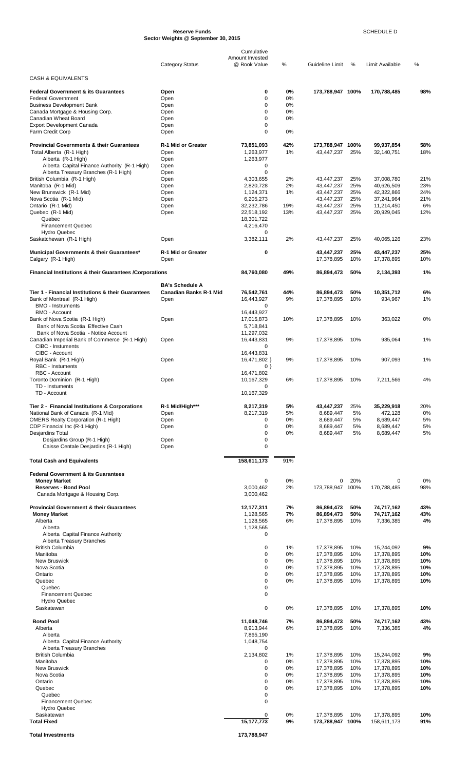#### **Reserve Funds** SCHEDULE D **Sector Weights @ September 30, 2015**

|                                                                                      |                                                         | Cumulative                      |                |                          |            |                          |            |
|--------------------------------------------------------------------------------------|---------------------------------------------------------|---------------------------------|----------------|--------------------------|------------|--------------------------|------------|
|                                                                                      | <b>Category Status</b>                                  | Amount Invested<br>@ Book Value | %              | Guideline Limit          | %          | Limit Available          | %          |
|                                                                                      |                                                         |                                 |                |                          |            |                          |            |
| <b>CASH &amp; EQUIVALENTS</b>                                                        |                                                         |                                 |                |                          |            |                          |            |
| Federal Government & its Guarantees                                                  | Open                                                    | 0                               | 0%             | 173,788,947 100%         |            | 170,788,485              | 98%        |
| <b>Federal Government</b>                                                            | Open                                                    | 0                               | 0%             |                          |            |                          |            |
| <b>Business Development Bank</b><br>Canada Mortgage & Housing Corp.                  | Open<br>Open                                            | 0<br>0                          | 0%<br>0%       |                          |            |                          |            |
| Canadian Wheat Board                                                                 | Open                                                    | 0                               | 0%             |                          |            |                          |            |
| <b>Export Development Canada</b>                                                     | Open                                                    | 0                               |                |                          |            |                          |            |
| Farm Credit Corp                                                                     | Open                                                    | 0                               | 0%             |                          |            |                          |            |
| <b>Provincial Governments &amp; their Guarantees</b>                                 | R-1 Mid or Greater                                      | 73,851,093                      | 42%            | 173,788,947 100%         |            | 99,937,854               | 58%        |
| Total Alberta (R-1 High)                                                             | Open                                                    | 1,263,977                       | 1%             | 43,447,237               | 25%        | 32,140,751               | 18%        |
| Alberta (R-1 High)                                                                   | Open                                                    | 1,263,977                       |                |                          |            |                          |            |
| Alberta Capital Finance Authority (R-1 High)<br>Alberta Treasury Branches (R-1 High) | Open<br>Open                                            | 0<br>0                          |                |                          |            |                          |            |
| British Columbia (R-1 High)                                                          | Open                                                    | 4,303,655                       | 2%             | 43,447,237               | 25%        | 37,008,780               | 21%        |
| Manitoba (R-1 Mid)                                                                   | Open                                                    | 2,820,728                       | 2%             | 43,447,237               | 25%        | 40,626,509               | 23%        |
| New Brunswick (R-1 Mid)                                                              | Open                                                    | 1,124,371                       | 1%             | 43,447,237               | 25%        | 42,322,866               | 24%        |
| Nova Scotia (R-1 Mid)<br>Ontario (R-1 Mid)                                           | Open<br>Open                                            | 6,205,273<br>32,232,786         | 19%            | 43,447,237<br>43,447,237 | 25%<br>25% | 37,241,964<br>11,214,450 | 21%<br>6%  |
| Quebec (R-1 Mid)                                                                     | Open                                                    | 22,518,192                      | 13%            | 43,447,237               | 25%        | 20,929,045               | 12%        |
| Quebec                                                                               |                                                         | 18,301,722                      |                |                          |            |                          |            |
| <b>Financement Quebec</b>                                                            |                                                         | 4,216,470                       |                |                          |            |                          |            |
| <b>Hydro Quebec</b><br>Saskatchewan (R-1 High)                                       | Open                                                    | 0<br>3,382,111                  | 2%             | 43,447,237               | 25%        | 40,065,126               | 23%        |
|                                                                                      |                                                         |                                 |                |                          |            |                          |            |
| Municipal Governments & their Guarantees*<br>Calgary (R-1 High)                      | R-1 Mid or Greater<br>Open                              | 0                               |                | 43,447,237<br>17,378,895 | 25%<br>10% | 43,447,237<br>17,378,895 | 25%<br>10% |
| Financial Institutions & their Guarantees /Corporations                              |                                                         | 84,760,080                      | 49%            | 86,894,473               | 50%        | 2,134,393                | 1%         |
|                                                                                      |                                                         |                                 |                |                          |            |                          |            |
| Tier 1 - Financial Institutions & their Guarantees                                   | <b>BA's Schedule A</b><br><b>Canadian Banks R-1 Mid</b> |                                 | 44%            |                          | 50%        |                          |            |
| Bank of Montreal (R-1 High)                                                          | Open                                                    | 76,542,761<br>16,443,927        | 9%             | 86,894,473<br>17,378,895 | 10%        | 10,351,712<br>934,967    | 6%<br>1%   |
| <b>BMO - Instruments</b>                                                             |                                                         | 0                               |                |                          |            |                          |            |
| <b>BMO - Account</b>                                                                 |                                                         | 16,443,927                      |                |                          |            |                          |            |
| Bank of Nova Scotia (R-1 High)<br>Bank of Nova Scotia Effective Cash                 | Open                                                    | 17,015,873                      | 10%            | 17,378,895               | 10%        | 363,022                  | 0%         |
| Bank of Nova Scotia - Notice Account                                                 |                                                         | 5,718,841<br>11,297,032         |                |                          |            |                          |            |
| Canadian Imperial Bank of Commerce (R-1 High)                                        | Open                                                    | 16,443,831                      | 9%             | 17,378,895               | 10%        | 935,064                  | 1%         |
| CIBC - Instuments                                                                    |                                                         | 0                               |                |                          |            |                          |            |
| CIBC - Account<br>Royal Bank (R-1 High)                                              | Open                                                    | 16,443,831<br>16,471,802 }      | 9%             | 17,378,895               | 10%        | 907,093                  | 1%         |
| <b>RBC</b> - Instuments                                                              |                                                         | $0$ }                           |                |                          |            |                          |            |
| RBC - Account                                                                        |                                                         | 16,471,802                      |                |                          |            |                          |            |
| Toronto Dominion (R-1 High)                                                          | Open                                                    | 10,167,329                      | 6%             | 17,378,895               | 10%        | 7.211.566                | 4%         |
| TD - Instuments<br>TD - Account                                                      |                                                         | $\Omega$<br>10,167,329          |                |                          |            |                          |            |
|                                                                                      |                                                         |                                 |                |                          |            |                          |            |
| Tier 2 - Financial Institutions & Corporations                                       | R-1 Mid/High***                                         | 8,217,319                       | 5%             | 43,447,237               | 25%        | 35,229,918               | 20%        |
| National Bank of Canada (R-1 Mid)<br><b>OMERS Realty Corporation (R-1 High)</b>      | Open<br>Open                                            | 8,217,319<br>0                  | 5%<br>0%       | 8,689,447<br>8,689,447   | 5%<br>5%   | 472,128<br>8,689,447     | 0%<br>5%   |
| CDP Financial Inc (R-1 High)                                                         | Open                                                    | 0                               | 0%             | 8,689,447                | 5%         | 8,689,447                | 5%         |
| Desjardins Total                                                                     |                                                         | 0                               | 0%             | 8,689,447                | 5%         | 8,689,447                | 5%         |
| Desjardins Group (R-1 High)                                                          | Open                                                    | 0                               |                |                          |            |                          |            |
| Caisse Centale Desjardins (R-1 High)                                                 | Open                                                    | 0                               |                |                          |            |                          |            |
| <b>Total Cash and Equivalents</b>                                                    |                                                         | 158,611,173                     | 91%            |                          |            |                          |            |
| <b>Federal Government &amp; its Guarantees</b>                                       |                                                         |                                 |                |                          |            |                          |            |
| <b>Money Market</b>                                                                  |                                                         | $\pmb{0}$                       | $0\%$          | 0                        | 20%        | 0                        | 0%         |
| <b>Reserves - Bond Pool</b>                                                          |                                                         | 3,000,462                       | 2%             | 173,788,947 100%         |            | 170,788,485              | 98%        |
| Canada Mortgage & Housing Corp.                                                      |                                                         | 3,000,462                       |                |                          |            |                          |            |
| <b>Provincial Government &amp; their Guarantees</b>                                  |                                                         | 12,177,311                      | 7%             | 86,894,473               | 50%        | 74,717,162               | 43%        |
| <b>Money Market</b>                                                                  |                                                         | 1,128,565                       | 7%             | 86,894,473               | 50%        | 74,717,162               | 43%        |
| Alberta                                                                              |                                                         | 1,128,565                       | 6%             | 17,378,895               | 10%        | 7,336,385                | 4%         |
| Alberta                                                                              |                                                         | 1,128,565                       |                |                          |            |                          |            |
| Alberta Capital Finance Authority<br>Alberta Treasury Branches                       |                                                         | 0                               |                |                          |            |                          |            |
| <b>British Columbia</b>                                                              |                                                         | 0                               | 1%             | 17,378,895               | 10%        | 15,244,092               | 9%         |
| Manitoba                                                                             |                                                         | 0                               | 0%             | 17,378,895               | 10%        | 17,378,895               | 10%        |
| <b>New Bruswick</b><br>Nova Scotia                                                   |                                                         | 0<br>0                          | $0\%$<br>$0\%$ | 17,378,895<br>17,378,895 | 10%<br>10% | 17,378,895<br>17,378,895 | 10%<br>10% |
| Ontario                                                                              |                                                         | 0                               | $0\%$          | 17,378,895               | 10%        | 17,378,895               | 10%        |
| Quebec                                                                               |                                                         | 0                               | $0\%$          | 17,378,895               | 10%        | 17,378,895               | 10%        |
| Quebec                                                                               |                                                         | 0                               |                |                          |            |                          |            |
| <b>Financement Quebec</b><br><b>Hydro Quebec</b>                                     |                                                         | 0                               |                |                          |            |                          |            |
| Saskatewan                                                                           |                                                         | 0                               | 0%             | 17,378,895               | 10%        | 17,378,895               | 10%        |
|                                                                                      |                                                         |                                 |                |                          |            |                          |            |
| <b>Bond Pool</b>                                                                     |                                                         | 11,048,746                      | 7%             | 86,894,473               | 50%        | 74,717,162               | 43%        |
| Alberta<br>Alberta                                                                   |                                                         | 8,913,944<br>7,865,190          | 6%             | 17,378,895               | 10%        | 7,336,385                | 4%         |
| Alberta Capital Finance Authority                                                    |                                                         | 1,048,754                       |                |                          |            |                          |            |
| Alberta Treasury Branches                                                            |                                                         | 0                               |                |                          |            |                          |            |
| <b>British Columbia</b>                                                              |                                                         | 2,134,802                       | 1%             | 17,378,895               | 10%        | 15,244,092               | 9%         |
| Manitoba<br><b>New Bruswick</b>                                                      |                                                         | 0<br>$\mathbf 0$                | $0\%$<br>$0\%$ | 17,378,895<br>17,378,895 | 10%<br>10% | 17,378,895<br>17,378,895 | 10%<br>10% |
| Nova Scotia                                                                          |                                                         | 0                               | 0%             | 17,378,895               | 10%        | 17,378,895               | 10%        |
| Ontario                                                                              |                                                         | 0                               | 0%             | 17,378,895               | 10%        | 17,378,895               | 10%        |
| Quebec<br>Quebec                                                                     |                                                         | 0<br>0                          | 0%             | 17,378,895               | 10%        | 17,378,895               | 10%        |
| <b>Financement Quebec</b>                                                            |                                                         | 0                               |                |                          |            |                          |            |
| <b>Hydro Quebec</b>                                                                  |                                                         |                                 |                |                          |            |                          |            |
| Saskatewan                                                                           |                                                         |                                 | 0%             | 17,378,895               | 10%        | 17,378,895               | 10%        |
| <b>Total Fixed</b>                                                                   |                                                         | 15, 177, 773                    | 9%             | 173,788,947 100%         |            | 158.611.173              | 91%        |
| <b>Total Investments</b>                                                             |                                                         | 173,788,947                     |                |                          |            |                          |            |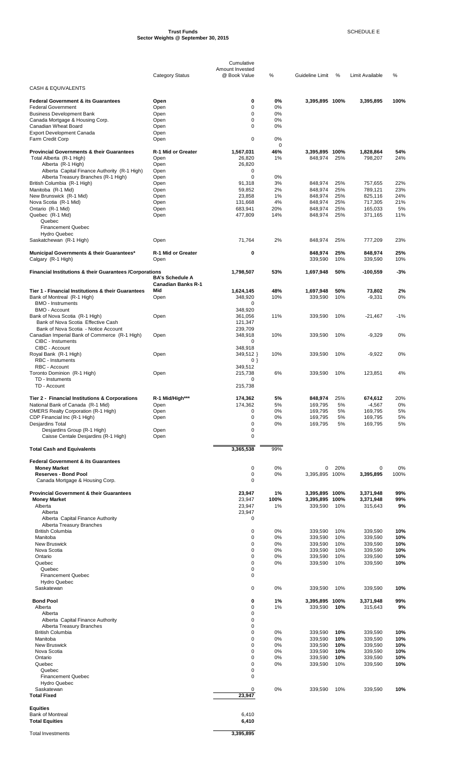#### **Trust Funds** SCHEDULE E **Sector Weights @ September 30, 2015**

|                                                                                 |                                  | Cumulative                      |            |                    |            |                     |            |
|---------------------------------------------------------------------------------|----------------------------------|---------------------------------|------------|--------------------|------------|---------------------|------------|
|                                                                                 | <b>Category Status</b>           | Amount Invested<br>@ Book Value | %          | Guideline Limit    | %          | Limit Available     | %          |
| <b>CASH &amp; EQUIVALENTS</b>                                                   |                                  |                                 |            |                    |            |                     |            |
| <b>Federal Government &amp; its Guarantees</b>                                  | Open                             | 0                               | 0%         | 3,395,895 100%     |            | 3,395,895           | 100%       |
| <b>Federal Government</b>                                                       | Open                             | 0                               | 0%         |                    |            |                     |            |
| <b>Business Development Bank</b>                                                | Open<br>Open                     | 0<br>0                          | 0%<br>0%   |                    |            |                     |            |
| Canada Mortgage & Housing Corp.<br>Canadian Wheat Board                         | Open                             | 0                               | $0\%$      |                    |            |                     |            |
| <b>Export Development Canada</b>                                                | Open                             |                                 |            |                    |            |                     |            |
| Farm Credit Corp                                                                | Open                             | $\mathbf 0$                     | 0%<br>0    |                    |            |                     |            |
| <b>Provincial Governments &amp; their Guarantees</b>                            | R-1 Mid or Greater               | 1,567,031                       | 46%        | 3,395,895 100%     |            | 1,828,864           | 54%        |
| Total Alberta (R-1 High)                                                        | Open                             | 26,820                          | 1%         | 848,974            | 25%        | 798,207             | 24%        |
| Alberta (R-1 High)<br>Alberta Capital Finance Authority (R-1 High)              | Open<br>Open                     | 26,820<br>0                     |            |                    |            |                     |            |
| Alberta Treasury Branches (R-1 High)                                            | Open                             | $\mathbf 0$                     | 0%         |                    |            |                     |            |
| British Columbia (R-1 High)                                                     | Open                             | 91,318                          | 3%<br>2%   | 848,974            | 25%        | 757,655             | 22%<br>23% |
| Manitoba (R-1 Mid)<br>New Brunswick (R-1 Mid)                                   | Open<br>Open                     | 59,852<br>23,858                | 1%         | 848,974<br>848,974 | 25%<br>25% | 789,121<br>825,116  | 24%        |
| Nova Scotia (R-1 Mid)                                                           | Open                             | 131,668                         | 4%         | 848,974            | 25%        | 717,305             | 21%        |
| Ontario (R-1 Mid)<br>Quebec (R-1 Mid)                                           | Open<br>Open                     | 683.941<br>477,809              | 20%<br>14% | 848,974<br>848,974 | 25%<br>25% | 165.033<br>371,165  | 5%<br>11%  |
| Quebec                                                                          |                                  |                                 |            |                    |            |                     |            |
| <b>Financement Quebec</b>                                                       |                                  |                                 |            |                    |            |                     |            |
| <b>Hydro Quebec</b><br>Saskatchewan (R-1 High)                                  | Open                             | 71,764                          | 2%         | 848.974            | 25%        | 777,209             | 23%        |
|                                                                                 |                                  |                                 |            |                    |            |                     |            |
| Municipal Governments & their Guarantees*<br>Calgary (R-1 High)                 | R-1 Mid or Greater<br>Open       | 0                               |            | 848,974<br>339,590 | 25%<br>10% | 848,974<br>339,590  | 25%<br>10% |
| Financial Institutions & their Guarantees / Corporations                        |                                  | 1,798,507                       | 53%        | 1,697,948          | 50%        | $-100,559$          | $-3%$      |
|                                                                                 | <b>BA's Schedule A</b>           |                                 |            |                    |            |                     |            |
| Tier 1 - Financial Institutions & their Guarantees                              | <b>Canadian Banks R-1</b><br>Mid | 1,624,145                       | 48%        | 1,697,948          | 50%        | 73,802              | 2%         |
| Bank of Montreal (R-1 High)                                                     | Open                             | 348,920                         | 10%        | 339,590            | 10%        | $-9,331$            | 0%         |
| <b>BMO - Instruments</b>                                                        |                                  | 0                               |            |                    |            |                     |            |
| <b>BMO - Account</b><br>Bank of Nova Scotia (R-1 High)                          | Open                             | 348,920<br>361,056              | 11%        | 339,590            | 10%        | $-21,467$           | $-1%$      |
| Bank of Nova Scotia Effective Cash                                              |                                  | 121,347                         |            |                    |            |                     |            |
| Bank of Nova Scotia - Notice Account                                            |                                  | 239,709                         |            |                    |            |                     |            |
| Canadian Imperial Bank of Commerce (R-1 High)<br><b>CIBC</b> - Instuments       | Open                             | 348,918<br>0                    | 10%        | 339,590            | 10%        | $-9,329$            | 0%         |
| CIBC - Account                                                                  |                                  | 348,918                         |            |                    |            |                     |            |
| Royal Bank (R-1 High)                                                           | Open                             | 349,512 }                       | 10%        | 339,590            | 10%        | $-9,922$            | 0%         |
| <b>RBC</b> - Instuments<br>RBC - Account                                        |                                  | $0$ }<br>349,512                |            |                    |            |                     |            |
| Toronto Dominion (R-1 High)                                                     | Open                             | 215,738                         | 6%         | 339,590            | 10%        | 123,851             | 4%         |
| TD - Instuments<br>TD - Account                                                 |                                  | 0<br>215,738                    |            |                    |            |                     |            |
|                                                                                 |                                  |                                 |            |                    |            |                     |            |
| Tier 2 - Financial Institutions & Corporations                                  | R-1 Mid/High***                  | 174,362                         | 5%         | 848,974            | 25%        | 674,612             | 20%        |
| National Bank of Canada (R-1 Mid)<br><b>OMERS Realty Corporation (R-1 High)</b> | Open<br>Open                     | 174,362<br>0                    | 5%<br>0%   | 169,795<br>169,795 | 5%<br>5%   | $-4,567$<br>169,795 | 0%<br>5%   |
| CDP Financial Inc (R-1 High)                                                    | Open                             | 0                               | 0%         | 169,795            | 5%         | 169,795             | 5%         |
| Desjardins Total                                                                |                                  | 0<br>$\mathbf 0$                | 0%         | 169,795            | 5%         | 169,795             | 5%         |
| Desjardins Group (R-1 High)<br>Caisse Centale Desjardins (R-1 High)             | Open<br>Open                     | 0                               |            |                    |            |                     |            |
|                                                                                 |                                  |                                 |            |                    |            |                     |            |
| <b>Total Cash and Equivalents</b>                                               |                                  | 3,365,538                       | 99%        |                    |            |                     |            |
| <b>Federal Government &amp; its Guarantees</b><br><b>Money Market</b>           |                                  | 0                               | 0%         | 0                  | 20%        | 0                   | 0%         |
| <b>Reserves - Bond Pool</b>                                                     |                                  | 0                               | 0%         | 3,395,895 100%     |            | 3,395,895           | 100%       |
| Canada Mortgage & Housing Corp.                                                 |                                  | 0                               |            |                    |            |                     |            |
| <b>Provincial Government &amp; their Guarantees</b>                             |                                  | 23,947                          | 1%         | 3,395,895 100%     |            | 3,371,948           | 99%        |
| <b>Money Market</b>                                                             |                                  | 23,947                          | 100%       | 3,395,895 100%     |            | 3,371,948           | 99%        |
| Alberta<br>Alberta                                                              |                                  | 23,947<br>23,947                | 1%         | 339,590            | 10%        | 315,643             | 9%         |
| Alberta Capital Finance Authority                                               |                                  | 0                               |            |                    |            |                     |            |
| Alberta Treasury Branches<br><b>British Columbia</b>                            |                                  | 0                               | 0%         | 339,590            | 10%        | 339,590             | 10%        |
| Manitoba                                                                        |                                  | 0                               | 0%         | 339,590            | 10%        | 339,590             | 10%        |
| <b>New Bruswick</b>                                                             |                                  | 0                               | 0%         | 339,590            | 10%        | 339,590             | 10%        |
| Nova Scotia<br>Ontario                                                          |                                  | 0<br>0                          | 0%<br>0%   | 339,590<br>339,590 | 10%<br>10% | 339,590<br>339,590  | 10%<br>10% |
| Quebec                                                                          |                                  | 0                               | 0%         | 339,590            | 10%        | 339,590             | 10%        |
| Quebec                                                                          |                                  | 0                               |            |                    |            |                     |            |
| <b>Financement Quebec</b><br><b>Hydro Quebec</b>                                |                                  | 0                               |            |                    |            |                     |            |
| Saskatewan                                                                      |                                  | 0                               | 0%         | 339,590            | 10%        | 339,590             | 10%        |
| <b>Bond Pool</b>                                                                |                                  | 0                               | 1%         | 3,395,895          | 100%       | 3,371,948           | 99%        |
| Alberta                                                                         |                                  | 0                               | 1%         | 339,590            | 10%        | 315,643             | 9%         |
| Alberta                                                                         |                                  | 0                               |            |                    |            |                     |            |
| Alberta Capital Finance Authority<br>Alberta Treasury Branches                  |                                  | 0<br>0                          |            |                    |            |                     |            |
| <b>British Columbia</b>                                                         |                                  | 0                               | 0%         | 339,590            | 10%        | 339,590             | 10%        |
| Manitoba<br><b>New Bruswick</b>                                                 |                                  | 0<br>0                          | 0%<br>0%   | 339,590<br>339,590 | 10%<br>10% | 339,590<br>339,590  | 10%<br>10% |
| Nova Scotia                                                                     |                                  | 0                               | 0%         | 339,590            | 10%        | 339,590             | 10%        |
| Ontario                                                                         |                                  | 0                               | 0%         | 339,590            | 10%        | 339,590             | 10%        |
| Quebec<br>Quebec                                                                |                                  | 0<br>0                          | 0%         | 339,590            | 10%        | 339,590             | 10%        |
| <b>Financement Quebec</b>                                                       |                                  | 0                               |            |                    |            |                     |            |
| <b>Hydro Quebec</b><br>Saskatewan                                               |                                  | 0                               |            |                    | 10%        |                     |            |
| <b>Total Fixed</b>                                                              |                                  | 23,947                          | 0%         | 339,590            |            | 339,590             | 10%        |
| <b>Equities</b>                                                                 |                                  |                                 |            |                    |            |                     |            |
| <b>Bank of Montreal</b>                                                         |                                  | 6,410                           |            |                    |            |                     |            |
| <b>Total Equities</b>                                                           |                                  | 6,410                           |            |                    |            |                     |            |

Total Investments **3,395,895** 

÷,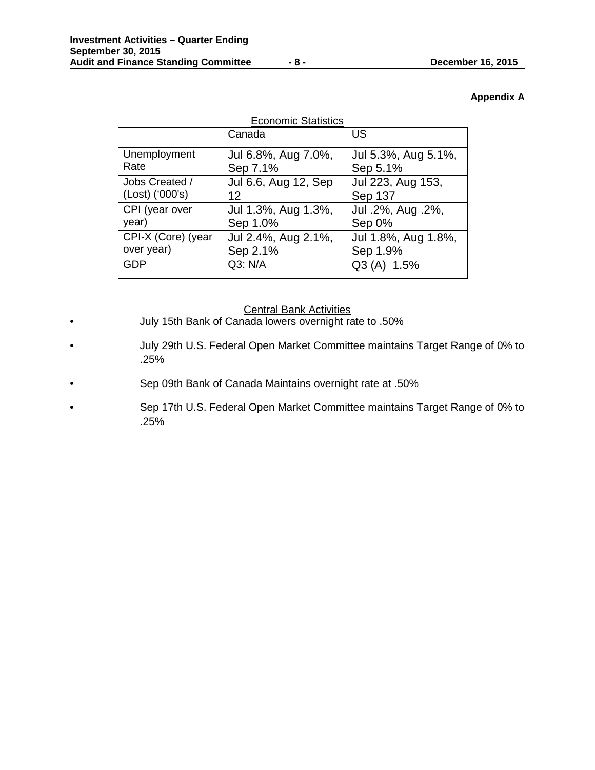# **Appendix A**

| <b>Economic Statistics</b> |                      |                     |  |  |  |  |
|----------------------------|----------------------|---------------------|--|--|--|--|
|                            | Canada               | <b>US</b>           |  |  |  |  |
| Unemployment               | Jul 6.8%, Aug 7.0%,  | Jul 5.3%, Aug 5.1%, |  |  |  |  |
| Rate                       | Sep 7.1%             | Sep 5.1%            |  |  |  |  |
| Jobs Created /             | Jul 6.6, Aug 12, Sep | Jul 223, Aug 153,   |  |  |  |  |
| (Lost) ('000's)            | 12                   | Sep 137             |  |  |  |  |
| CPI (year over             | Jul 1.3%, Aug 1.3%,  | Jul .2%, Aug .2%,   |  |  |  |  |
| year)                      | Sep 1.0%             | Sep 0%              |  |  |  |  |
| CPI-X (Core) (year         | Jul 2.4%, Aug 2.1%,  | Jul 1.8%, Aug 1.8%, |  |  |  |  |
| over year)                 | Sep 2.1%             | Sep 1.9%            |  |  |  |  |
| <b>GDP</b>                 | Q3: N/A              | $Q3(A)$ 1.5%        |  |  |  |  |

# Central Bank Activities

- July 15th Bank of Canada lowers overnight rate to .50%
- July 29th U.S. Federal Open Market Committee maintains Target Range of 0% to .25%
- Sep 09th Bank of Canada Maintains overnight rate at .50%
- Sep 17th U.S. Federal Open Market Committee maintains Target Range of 0% to .25%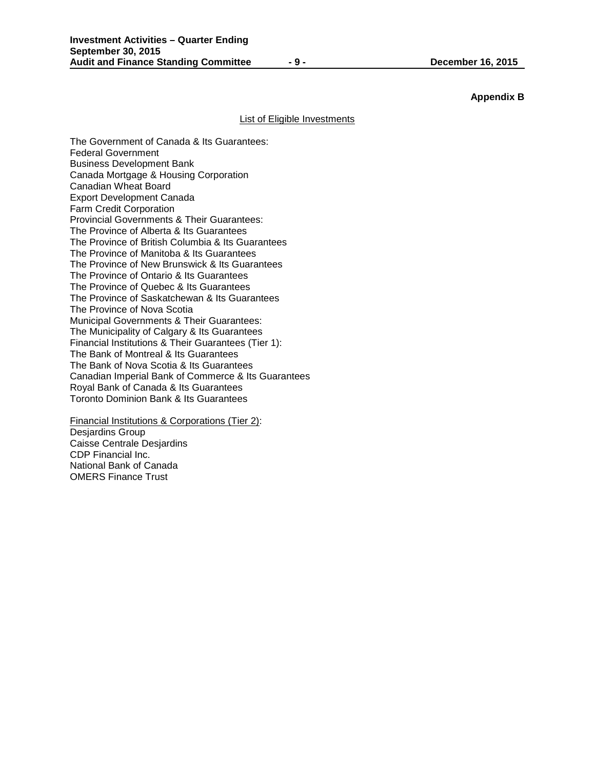# **Appendix B**

#### List of Eligible Investments

The Government of Canada & Its Guarantees: Federal Government Business Development Bank Canada Mortgage & Housing Corporation Canadian Wheat Board Export Development Canada Farm Credit Corporation Provincial Governments & Their Guarantees: The Province of Alberta & Its Guarantees The Province of British Columbia & Its Guarantees The Province of Manitoba & Its Guarantees The Province of New Brunswick & Its Guarantees The Province of Ontario & Its Guarantees The Province of Quebec & Its Guarantees The Province of Saskatchewan & Its Guarantees The Province of Nova Scotia Municipal Governments & Their Guarantees: The Municipality of Calgary & Its Guarantees Financial Institutions & Their Guarantees (Tier 1): The Bank of Montreal & Its Guarantees The Bank of Nova Scotia & Its Guarantees Canadian Imperial Bank of Commerce & Its Guarantees Royal Bank of Canada & Its Guarantees Toronto Dominion Bank & Its Guarantees

Financial Institutions & Corporations (Tier 2): Desjardins Group Caisse Centrale Desjardins CDP Financial Inc. National Bank of Canada OMERS Finance Trust